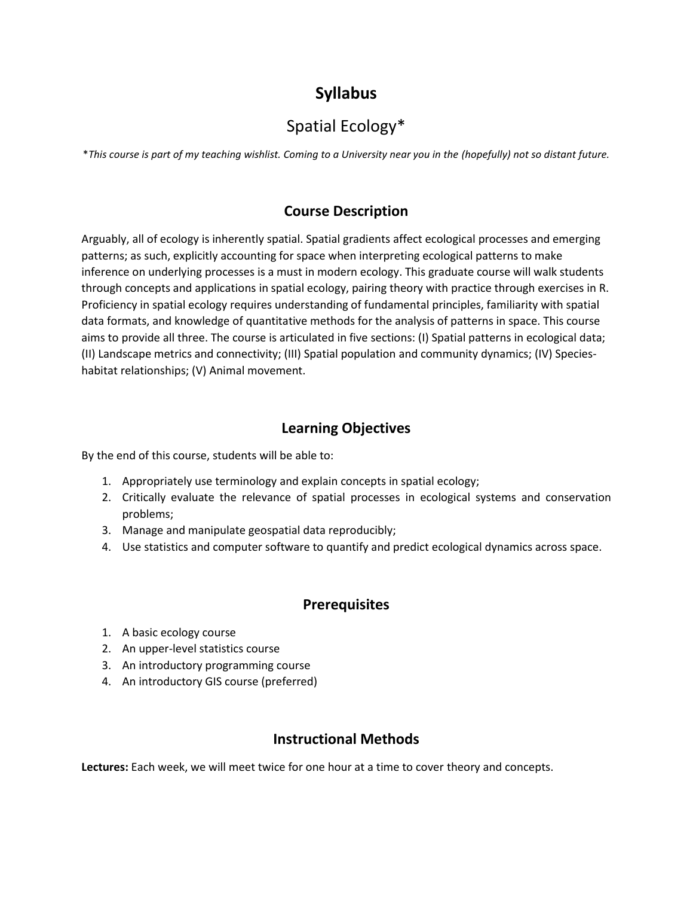# **Syllabus**

# Spatial Ecology\*

\**This course is part of my teaching wishlist. Coming to a University near you in the (hopefully) not so distant future.*

# **Course Description**

Arguably, all of ecology is inherently spatial. Spatial gradients affect ecological processes and emerging patterns; as such, explicitly accounting for space when interpreting ecological patterns to make inference on underlying processes is a must in modern ecology. This graduate course will walk students through concepts and applications in spatial ecology, pairing theory with practice through exercises in R. Proficiency in spatial ecology requires understanding of fundamental principles, familiarity with spatial data formats, and knowledge of quantitative methods for the analysis of patterns in space. This course aims to provide all three. The course is articulated in five sections: (I) Spatial patterns in ecological data; (II) Landscape metrics and connectivity; (III) Spatial population and community dynamics; (IV) Specieshabitat relationships; (V) Animal movement.

# **Learning Objectives**

By the end of this course, students will be able to:

- 1. Appropriately use terminology and explain concepts in spatial ecology;
- 2. Critically evaluate the relevance of spatial processes in ecological systems and conservation problems;
- 3. Manage and manipulate geospatial data reproducibly;
- 4. Use statistics and computer software to quantify and predict ecological dynamics across space.

# **Prerequisites**

- 1. A basic ecology course
- 2. An upper-level statistics course
- 3. An introductory programming course
- 4. An introductory GIS course (preferred)

# **Instructional Methods**

**Lectures:** Each week, we will meet twice for one hour at a time to cover theory and concepts.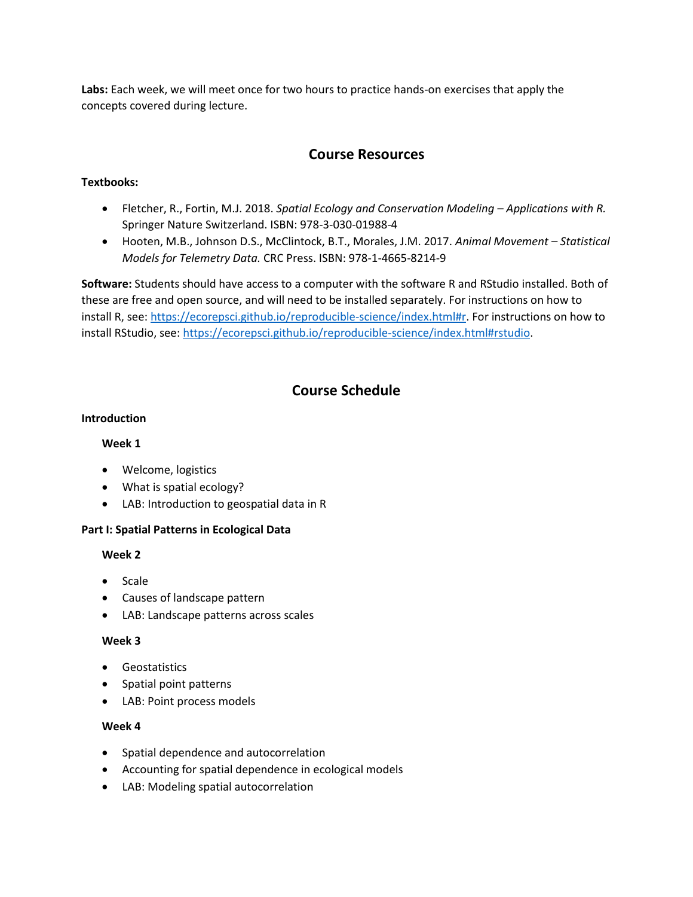**Labs:** Each week, we will meet once for two hours to practice hands-on exercises that apply the concepts covered during lecture.

# **Course Resources**

# **Textbooks:**

- Fletcher, R., Fortin, M.J. 2018. *Spatial Ecology and Conservation Modeling – Applications with R.*  Springer Nature Switzerland. ISBN: 978-3-030-01988-4
- Hooten, M.B., Johnson D.S., McClintock, B.T., Morales, J.M. 2017. *Animal Movement – Statistical Models for Telemetry Data.* CRC Press. ISBN: 978-1-4665-8214-9

**Software:** Students should have access to a computer with the software R and RStudio installed. Both of these are free and open source, and will need to be installed separately. For instructions on how to install R, see: [https://ecorepsci.github.io/reproducible-science/index.html#r.](https://ecorepsci.github.io/reproducible-science/index.html#r) For instructions on how to install RStudio, see[: https://ecorepsci.github.io/reproducible-science/index.html#rstudio.](https://ecorepsci.github.io/reproducible-science/index.html#rstudio)

# **Course Schedule**

# **Introduction**

# **Week 1**

- Welcome, logistics
- What is spatial ecology?
- LAB: Introduction to geospatial data in R

# **Part I: Spatial Patterns in Ecological Data**

# **Week 2**

- Scale
- Causes of landscape pattern
- LAB: Landscape patterns across scales

# **Week 3**

- Geostatistics
- Spatial point patterns
- LAB: Point process models

# **Week 4**

- Spatial dependence and autocorrelation
- Accounting for spatial dependence in ecological models
- LAB: Modeling spatial autocorrelation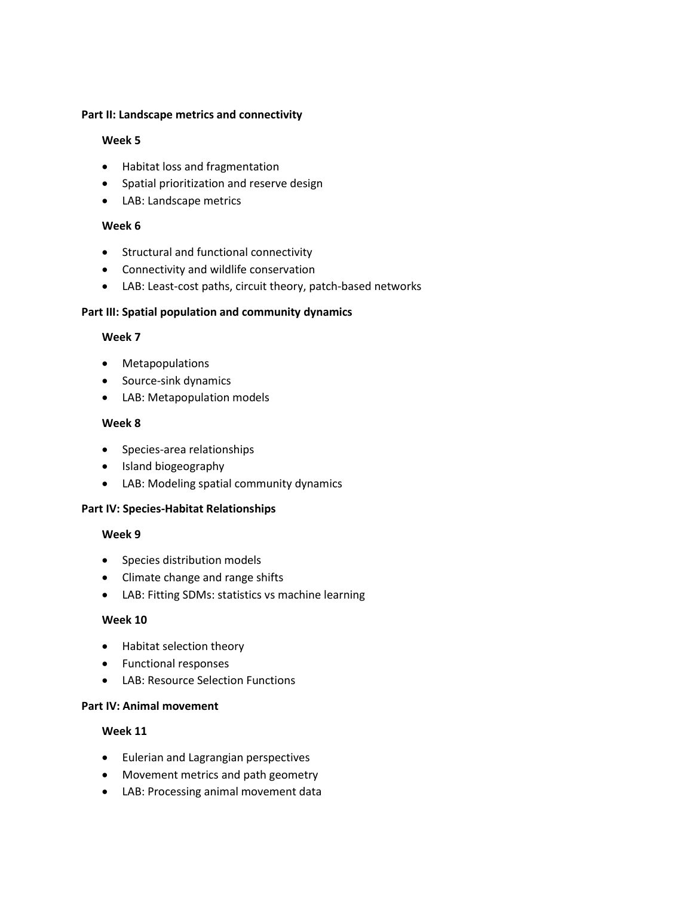#### **Part II: Landscape metrics and connectivity**

# **Week 5**

- Habitat loss and fragmentation
- Spatial prioritization and reserve design
- LAB: Landscape metrics

# **Week 6**

- Structural and functional connectivity
- Connectivity and wildlife conservation
- LAB: Least-cost paths, circuit theory, patch-based networks

# **Part III: Spatial population and community dynamics**

# **Week 7**

- Metapopulations
- Source-sink dynamics
- LAB: Metapopulation models

# **Week 8**

- Species-area relationships
- Island biogeography
- LAB: Modeling spatial community dynamics

# **Part IV: Species-Habitat Relationships**

# **Week 9**

- Species distribution models
- Climate change and range shifts
- LAB: Fitting SDMs: statistics vs machine learning

# **Week 10**

- Habitat selection theory
- Functional responses
- LAB: Resource Selection Functions

# **Part IV: Animal movement**

# **Week 11**

- Eulerian and Lagrangian perspectives
- Movement metrics and path geometry
- LAB: Processing animal movement data